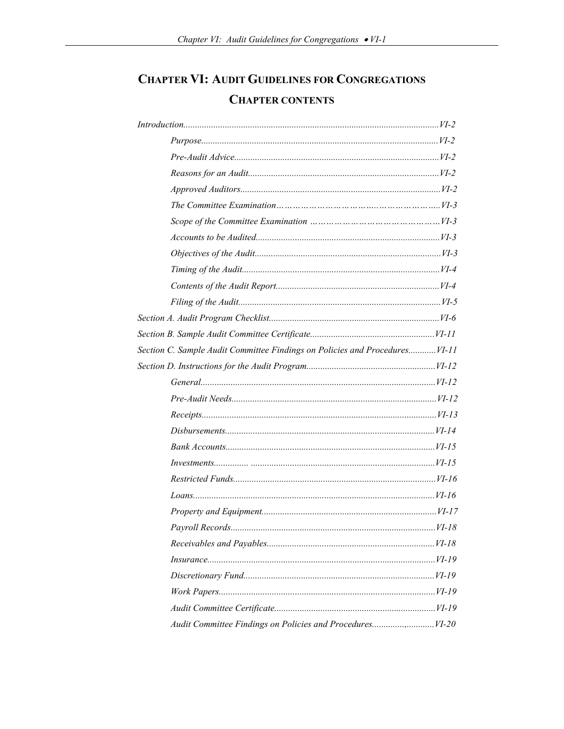# **CHAPTER VI: AUDIT GUIDELINES FOR CONGREGATIONS CHAPTER CONTENTS**

| Section C. Sample Audit Committee Findings on Policies and Procedures VI-11 |  |
|-----------------------------------------------------------------------------|--|
|                                                                             |  |
|                                                                             |  |
|                                                                             |  |
|                                                                             |  |
|                                                                             |  |
|                                                                             |  |
|                                                                             |  |
|                                                                             |  |
|                                                                             |  |
|                                                                             |  |
|                                                                             |  |
|                                                                             |  |
|                                                                             |  |
|                                                                             |  |
|                                                                             |  |
|                                                                             |  |
|                                                                             |  |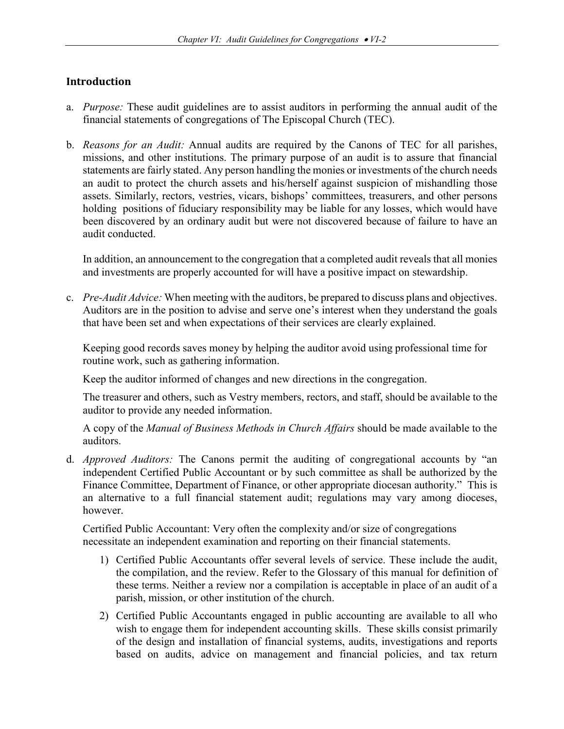## **Introduction**

- a. *Purpose:* These audit guidelines are to assist auditors in performing the annual audit of the financial statements of congregations of The Episcopal Church (TEC).
- b. *Reasons for an Audit:* Annual audits are required by the Canons of TEC for all parishes, missions, and other institutions. The primary purpose of an audit is to assure that financial statements are fairly stated. Any person handling the monies or investments of the church needs an audit to protect the church assets and his/herself against suspicion of mishandling those assets. Similarly, rectors, vestries, vicars, bishops' committees, treasurers, and other persons holding positions of fiduciary responsibility may be liable for any losses, which would have been discovered by an ordinary audit but were not discovered because of failure to have an audit conducted.

In addition, an announcement to the congregation that a completed audit reveals that all monies and investments are properly accounted for will have a positive impact on stewardship.

c. *Pre-Audit Advice:* When meeting with the auditors, be prepared to discuss plans and objectives. Auditors are in the position to advise and serve one's interest when they understand the goals that have been set and when expectations of their services are clearly explained.

Keeping good records saves money by helping the auditor avoid using professional time for routine work, such as gathering information.

Keep the auditor informed of changes and new directions in the congregation.

The treasurer and others, such as Vestry members, rectors, and staff, should be available to the auditor to provide any needed information.

A copy of the *Manual of Business Methods in Church Affairs* should be made available to the auditors.

d. *Approved Auditors:* The Canons permit the auditing of congregational accounts by "an independent Certified Public Accountant or by such committee as shall be authorized by the Finance Committee, Department of Finance, or other appropriate diocesan authority." This is an alternative to a full financial statement audit; regulations may vary among dioceses, however.

Certified Public Accountant: Very often the complexity and/or size of congregations necessitate an independent examination and reporting on their financial statements.

- 1) Certified Public Accountants offer several levels of service. These include the audit, the compilation, and the review. Refer to the Glossary of this manual for definition of these terms. Neither a review nor a compilation is acceptable in place of an audit of a parish, mission, or other institution of the church.
- 2) Certified Public Accountants engaged in public accounting are available to all who wish to engage them for independent accounting skills. These skills consist primarily of the design and installation of financial systems, audits, investigations and reports based on audits, advice on management and financial policies, and tax return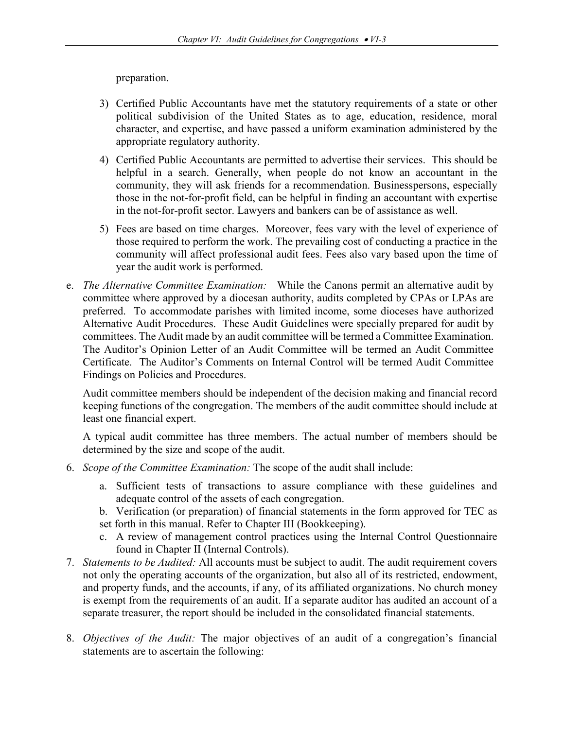preparation.

- 3) Certified Public Accountants have met the statutory requirements of a state or other political subdivision of the United States as to age, education, residence, moral character, and expertise, and have passed a uniform examination administered by the appropriate regulatory authority.
- 4) Certified Public Accountants are permitted to advertise their services. This should be helpful in a search. Generally, when people do not know an accountant in the community, they will ask friends for a recommendation. Businesspersons, especially those in the not-for-profit field, can be helpful in finding an accountant with expertise in the not-for-profit sector. Lawyers and bankers can be of assistance as well.
- 5) Fees are based on time charges. Moreover, fees vary with the level of experience of those required to perform the work. The prevailing cost of conducting a practice in the community will affect professional audit fees. Fees also vary based upon the time of year the audit work is performed.
- e. *The Alternative Committee Examination:* While the Canons permit an alternative audit by committee where approved by a diocesan authority, audits completed by CPAs or LPAs are preferred. To accommodate parishes with limited income, some dioceses have authorized Alternative Audit Procedures. These Audit Guidelines were specially prepared for audit by committees. The Audit made by an audit committee will be termed a Committee Examination. The Auditor's Opinion Letter of an Audit Committee will be termed an Audit Committee Certificate. The Auditor's Comments on Internal Control will be termed Audit Committee Findings on Policies and Procedures.

Audit committee members should be independent of the decision making and financial record keeping functions of the congregation. The members of the audit committee should include at least one financial expert.

A typical audit committee has three members. The actual number of members should be determined by the size and scope of the audit.

- 6. *Scope of the Committee Examination:* The scope of the audit shall include:
	- a. Sufficient tests of transactions to assure compliance with these guidelines and adequate control of the assets of each congregation.
	- b. Verification (or preparation) of financial statements in the form approved for TEC as set forth in this manual. Refer to Chapter III (Bookkeeping).
	- c. A review of management control practices using the Internal Control Questionnaire found in Chapter II (Internal Controls).
- 7. *Statements to be Audited:* All accounts must be subject to audit. The audit requirement covers not only the operating accounts of the organization, but also all of its restricted, endowment, and property funds, and the accounts, if any, of its affiliated organizations. No church money is exempt from the requirements of an audit. If a separate auditor has audited an account of a separate treasurer, the report should be included in the consolidated financial statements.
- 8. *Objectives of the Audit:* The major objectives of an audit of a congregation's financial statements are to ascertain the following: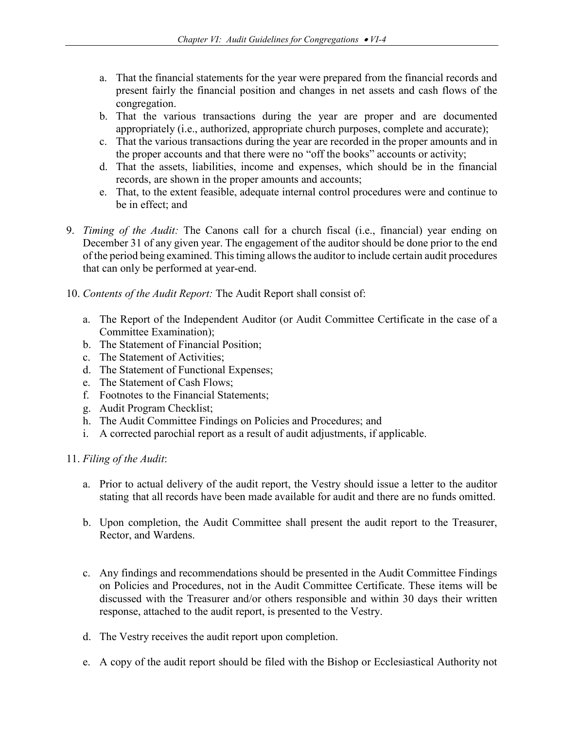- a. That the financial statements for the year were prepared from the financial records and present fairly the financial position and changes in net assets and cash flows of the congregation.
- b. That the various transactions during the year are proper and are documented appropriately (i.e., authorized, appropriate church purposes, complete and accurate);
- c. That the various transactions during the year are recorded in the proper amounts and in the proper accounts and that there were no "off the books" accounts or activity;
- d. That the assets, liabilities, income and expenses, which should be in the financial records, are shown in the proper amounts and accounts;
- e. That, to the extent feasible, adequate internal control procedures were and continue to be in effect; and
- 9. *Timing of the Audit:* The Canons call for a church fiscal (i.e., financial) year ending on December 31 of any given year. The engagement of the auditor should be done prior to the end of the period being examined. This timing allows the auditor to include certain audit procedures that can only be performed at year-end.
- 10. *Contents of the Audit Report:* The Audit Report shall consist of:
	- a. The Report of the Independent Auditor (or Audit Committee Certificate in the case of a Committee Examination);
	- b. The Statement of Financial Position;
	- c. The Statement of Activities;
	- d. The Statement of Functional Expenses;
	- e. The Statement of Cash Flows;
	- f. Footnotes to the Financial Statements;
	- g. Audit Program Checklist;
	- h. The Audit Committee Findings on Policies and Procedures; and
	- i. A corrected parochial report as a result of audit adjustments, if applicable.
- 11. *Filing of the Audit*:
	- a. Prior to actual delivery of the audit report, the Vestry should issue a letter to the auditor stating that all records have been made available for audit and there are no funds omitted.
	- b. Upon completion, the Audit Committee shall present the audit report to the Treasurer, Rector, and Wardens.
	- c. Any findings and recommendations should be presented in the Audit Committee Findings on Policies and Procedures, not in the Audit Committee Certificate. These items will be discussed with the Treasurer and/or others responsible and within 30 days their written response, attached to the audit report, is presented to the Vestry.
	- d. The Vestry receives the audit report upon completion.
	- e. A copy of the audit report should be filed with the Bishop or Ecclesiastical Authority not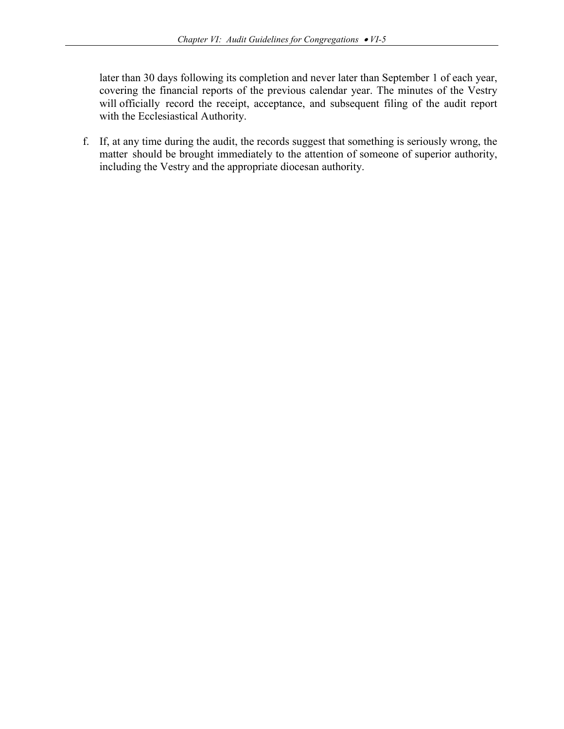later than 30 days following its completion and never later than September 1 of each year, covering the financial reports of the previous calendar year. The minutes of the Vestry will officially record the receipt, acceptance, and subsequent filing of the audit report with the Ecclesiastical Authority.

f. If, at any time during the audit, the records suggest that something is seriously wrong, the matter should be brought immediately to the attention of someone of superior authority, including the Vestry and the appropriate diocesan authority.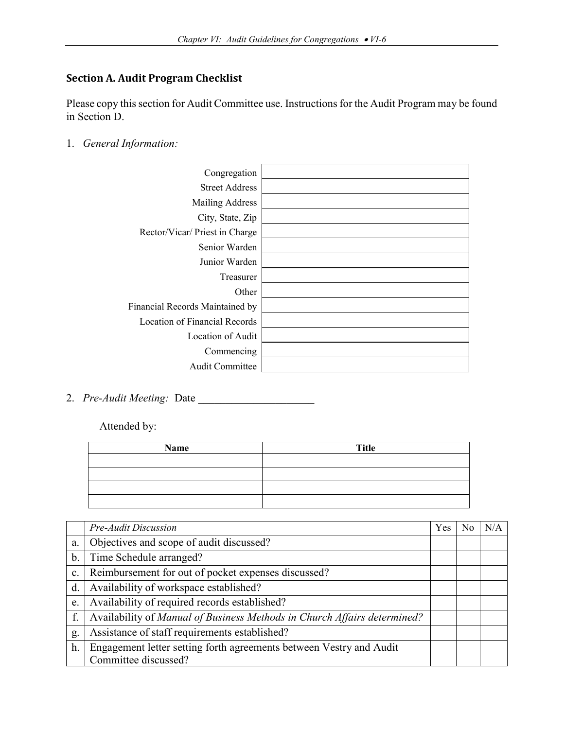## **Section A. Audit Program Checklist**

Please copy this section for Audit Committee use. Instructions for the Audit Program may be found in Section D.

1. *General Information:*

| Congregation                    |  |
|---------------------------------|--|
| <b>Street Address</b>           |  |
| Mailing Address                 |  |
| City, State, Zip                |  |
| Rector/Vicar/Priest in Charge   |  |
| Senior Warden                   |  |
| Junior Warden                   |  |
| Treasurer                       |  |
| Other                           |  |
| Financial Records Maintained by |  |
| Location of Financial Records   |  |
| Location of Audit               |  |
| Commencing                      |  |
| Audit Committee                 |  |
|                                 |  |

2. *Pre-Audit Meeting: Date* 

Attended by:

| Name | <b>Title</b> |
|------|--------------|
|      |              |
|      |              |
|      |              |
|      |              |

|       | Pre-Audit Discussion                                                     | <b>Yes</b> | No | N/A |
|-------|--------------------------------------------------------------------------|------------|----|-----|
| a.    | Objectives and scope of audit discussed?                                 |            |    |     |
| $b$ . | Time Schedule arranged?                                                  |            |    |     |
| c.    | Reimbursement for out of pocket expenses discussed?                      |            |    |     |
| d.    | Availability of workspace established?                                   |            |    |     |
| e.    | Availability of required records established?                            |            |    |     |
| f.    | Availability of Manual of Business Methods in Church Affairs determined? |            |    |     |
| g.    | Assistance of staff requirements established?                            |            |    |     |
| h.    | Engagement letter setting forth agreements between Vestry and Audit      |            |    |     |
|       | Committee discussed?                                                     |            |    |     |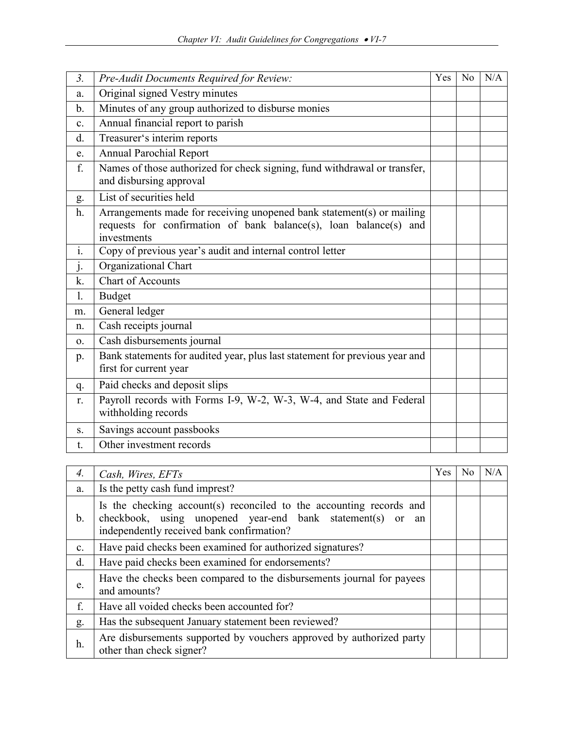| 3 <sub>1</sub> | Pre-Audit Documents Required for Review:                                                                                                                  | Yes | N <sub>o</sub> | N/A |
|----------------|-----------------------------------------------------------------------------------------------------------------------------------------------------------|-----|----------------|-----|
| a.             | Original signed Vestry minutes                                                                                                                            |     |                |     |
| b.             | Minutes of any group authorized to disburse monies                                                                                                        |     |                |     |
| c.             | Annual financial report to parish                                                                                                                         |     |                |     |
| d.             | Treasurer's interim reports                                                                                                                               |     |                |     |
| e.             | <b>Annual Parochial Report</b>                                                                                                                            |     |                |     |
| f.             | Names of those authorized for check signing, fund withdrawal or transfer,<br>and disbursing approval                                                      |     |                |     |
| g.             | List of securities held                                                                                                                                   |     |                |     |
| h.             | Arrangements made for receiving unopened bank statement(s) or mailing<br>requests for confirmation of bank balance(s), loan balance(s) and<br>investments |     |                |     |
| i.             | Copy of previous year's audit and internal control letter                                                                                                 |     |                |     |
| j.             | Organizational Chart                                                                                                                                      |     |                |     |
| k.             | <b>Chart of Accounts</b>                                                                                                                                  |     |                |     |
| 1.             | <b>Budget</b>                                                                                                                                             |     |                |     |
| m.             | General ledger                                                                                                                                            |     |                |     |
| n.             | Cash receipts journal                                                                                                                                     |     |                |     |
| 0.             | Cash disbursements journal                                                                                                                                |     |                |     |
| p.             | Bank statements for audited year, plus last statement for previous year and<br>first for current year                                                     |     |                |     |
| q.             | Paid checks and deposit slips                                                                                                                             |     |                |     |
| r.             | Payroll records with Forms I-9, W-2, W-3, W-4, and State and Federal<br>withholding records                                                               |     |                |     |
| S.             | Savings account passbooks                                                                                                                                 |     |                |     |
| t.             | Other investment records                                                                                                                                  |     |                |     |

| 4.             | Cash, Wires, EFTs                                                                                                                                                              | Yes | N <sub>0</sub> | N/A |
|----------------|--------------------------------------------------------------------------------------------------------------------------------------------------------------------------------|-----|----------------|-----|
| a.             | Is the petty cash fund imprest?                                                                                                                                                |     |                |     |
| $\mathbf{b}$ . | Is the checking account(s) reconciled to the accounting records and<br>checkbook, using unopened year-end bank statement(s) or an<br>independently received bank confirmation? |     |                |     |
| $\mathbf{c}$ . | Have paid checks been examined for authorized signatures?                                                                                                                      |     |                |     |
| d.             | Have paid checks been examined for endorsements?                                                                                                                               |     |                |     |
| e.             | Have the checks been compared to the disbursements journal for payees<br>and amounts?                                                                                          |     |                |     |
| f.             | Have all voided checks been accounted for?                                                                                                                                     |     |                |     |
| g.             | Has the subsequent January statement been reviewed?                                                                                                                            |     |                |     |
| h.             | Are disbursements supported by vouchers approved by authorized party<br>other than check signer?                                                                               |     |                |     |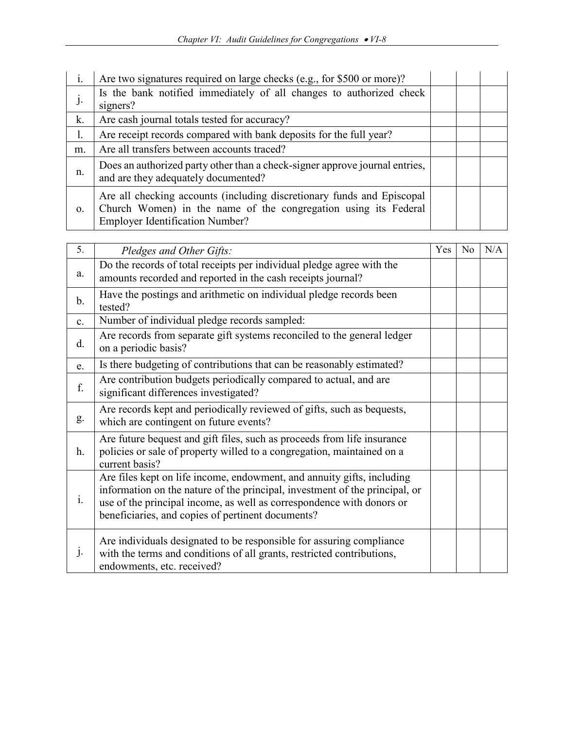| 1.       | Are two signatures required on large checks (e.g., for \$500 or more)?                                                                                                              |  |  |
|----------|-------------------------------------------------------------------------------------------------------------------------------------------------------------------------------------|--|--|
| $J\cdot$ | Is the bank notified immediately of all changes to authorized check<br>signers?                                                                                                     |  |  |
| k.       | Are cash journal totals tested for accuracy?                                                                                                                                        |  |  |
| ı.       | Are receipt records compared with bank deposits for the full year?                                                                                                                  |  |  |
| m.       | Are all transfers between accounts traced?                                                                                                                                          |  |  |
| n.       | Does an authorized party other than a check-signer approve journal entries,<br>and are they adequately documented?                                                                  |  |  |
| 0.       | Are all checking accounts (including discretionary funds and Episcopal<br>Church Women) in the name of the congregation using its Federal<br><b>Employer Identification Number?</b> |  |  |

| 5.             | Pledges and Other Gifts:                                                                                                                                                                                                                                                            | Yes | No | N/A |
|----------------|-------------------------------------------------------------------------------------------------------------------------------------------------------------------------------------------------------------------------------------------------------------------------------------|-----|----|-----|
| a.             | Do the records of total receipts per individual pledge agree with the<br>amounts recorded and reported in the cash receipts journal?                                                                                                                                                |     |    |     |
| $\mathbf{b}$ . | Have the postings and arithmetic on individual pledge records been<br>tested?                                                                                                                                                                                                       |     |    |     |
| $\mathbf{c}$ . | Number of individual pledge records sampled:                                                                                                                                                                                                                                        |     |    |     |
| d.             | Are records from separate gift systems reconciled to the general ledger<br>on a periodic basis?                                                                                                                                                                                     |     |    |     |
| e.             | Is there budgeting of contributions that can be reasonably estimated?                                                                                                                                                                                                               |     |    |     |
| f.             | Are contribution budgets periodically compared to actual, and are<br>significant differences investigated?                                                                                                                                                                          |     |    |     |
| g.             | Are records kept and periodically reviewed of gifts, such as bequests,<br>which are contingent on future events?                                                                                                                                                                    |     |    |     |
| h.             | Are future bequest and gift files, such as proceeds from life insurance<br>policies or sale of property willed to a congregation, maintained on a<br>current basis?                                                                                                                 |     |    |     |
| i.             | Are files kept on life income, endowment, and annuity gifts, including<br>information on the nature of the principal, investment of the principal, or<br>use of the principal income, as well as correspondence with donors or<br>beneficiaries, and copies of pertinent documents? |     |    |     |
| J <sub>1</sub> | Are individuals designated to be responsible for assuring compliance<br>with the terms and conditions of all grants, restricted contributions,<br>endowments, etc. received?                                                                                                        |     |    |     |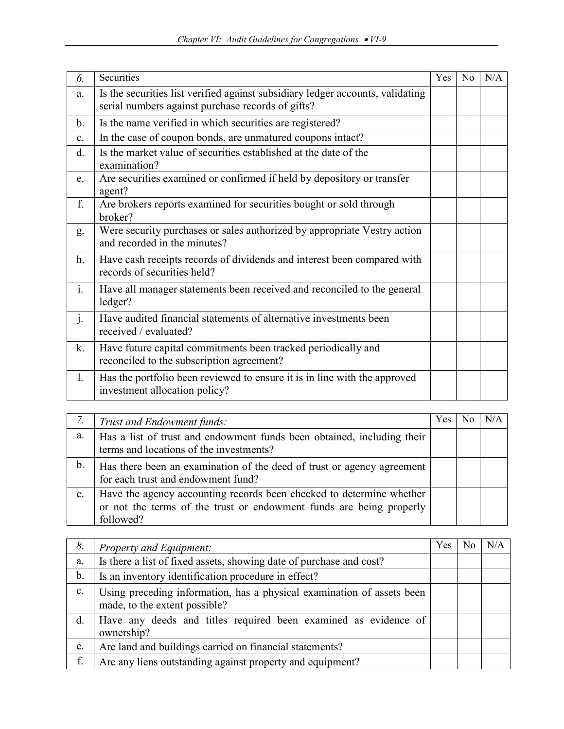| 6.             | Securities                                                                                                                          | Yes | N <sub>0</sub> | N/A |
|----------------|-------------------------------------------------------------------------------------------------------------------------------------|-----|----------------|-----|
| a.             | Is the securities list verified against subsidiary ledger accounts, validating<br>serial numbers against purchase records of gifts? |     |                |     |
| b.             | Is the name verified in which securities are registered?                                                                            |     |                |     |
| $\mathbf{c}$ . | In the case of coupon bonds, are unmatured coupons intact?                                                                          |     |                |     |
| d.             | Is the market value of securities established at the date of the<br>examination?                                                    |     |                |     |
| e.             | Are securities examined or confirmed if held by depository or transfer<br>agent?                                                    |     |                |     |
| f.             | Are brokers reports examined for securities bought or sold through<br>broker?                                                       |     |                |     |
| g.             | Were security purchases or sales authorized by appropriate Vestry action<br>and recorded in the minutes?                            |     |                |     |
| h.             | Have cash receipts records of dividends and interest been compared with<br>records of securities held?                              |     |                |     |
| $\mathbf{i}$ . | Have all manager statements been received and reconciled to the general<br>ledger?                                                  |     |                |     |
| j.             | Have audited financial statements of alternative investments been<br>received / evaluated?                                          |     |                |     |
| k.             | Have future capital commitments been tracked periodically and<br>reconciled to the subscription agreement?                          |     |                |     |
| 1.             | Has the portfolio been reviewed to ensure it is in line with the approved<br>investment allocation policy?                          |     |                |     |

|                | Trust and Endowment funds:                                                                                                                               | Yes |  |
|----------------|----------------------------------------------------------------------------------------------------------------------------------------------------------|-----|--|
| a.             | Has a list of trust and endowment funds been obtained, including their<br>terms and locations of the investments?                                        |     |  |
| b.             | Has there been an examination of the deed of trust or agency agreement<br>for each trust and endowment fund?                                             |     |  |
| $\mathbf{c}$ . | Have the agency accounting records been checked to determine whether<br>or not the terms of the trust or endowment funds are being properly<br>followed? |     |  |

| 8. | <b>Property and Equipment:</b>                                                                          | Yes | N <sub>0</sub> | N/A |
|----|---------------------------------------------------------------------------------------------------------|-----|----------------|-----|
| a. | Is there a list of fixed assets, showing date of purchase and cost?                                     |     |                |     |
| b. | Is an inventory identification procedure in effect?                                                     |     |                |     |
| c. | Using preceding information, has a physical examination of assets been<br>made, to the extent possible? |     |                |     |
| d. | Have any deeds and titles required been examined as evidence of<br>ownership?                           |     |                |     |
| e. | Are land and buildings carried on financial statements?                                                 |     |                |     |
| f. | Are any liens outstanding against property and equipment?                                               |     |                |     |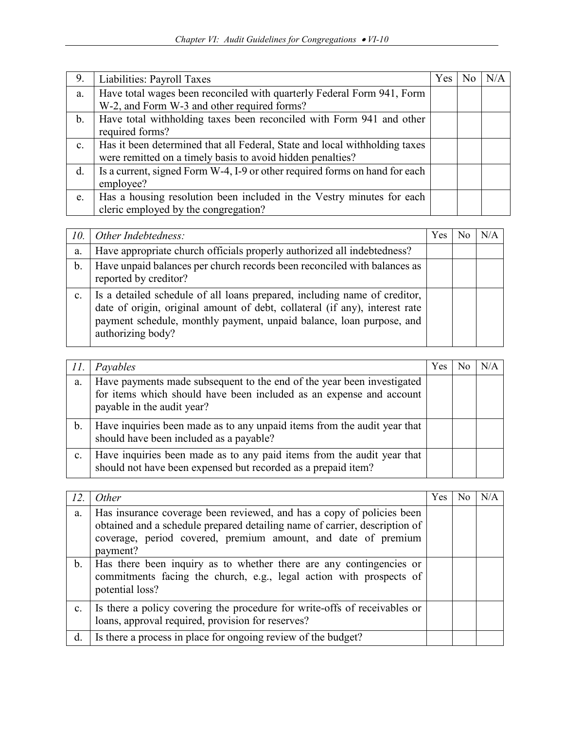| 9.             | Liabilities: Payroll Taxes                                                                                            | Yes | N/A |
|----------------|-----------------------------------------------------------------------------------------------------------------------|-----|-----|
| a.             | Have total wages been reconciled with quarterly Federal Form 941, Form<br>W-2, and Form W-3 and other required forms? |     |     |
|                |                                                                                                                       |     |     |
| b.             | Have total withholding taxes been reconciled with Form 941 and other<br>required forms?                               |     |     |
| $\mathbf{c}$ . | Has it been determined that all Federal, State and local withholding taxes                                            |     |     |
|                | were remitted on a timely basis to avoid hidden penalties?                                                            |     |     |
| d.             | Is a current, signed Form W-4, I-9 or other required forms on hand for each                                           |     |     |
|                | employee?                                                                                                             |     |     |
| e.             | Has a housing resolution been included in the Vestry minutes for each                                                 |     |     |
|                | cleric employed by the congregation?                                                                                  |     |     |

| 10. | Other Indebtedness:                                                                                                                                                                                                                                   | <b>Yes</b> | N/A |
|-----|-------------------------------------------------------------------------------------------------------------------------------------------------------------------------------------------------------------------------------------------------------|------------|-----|
| a.  | Have appropriate church officials properly authorized all indebtedness?                                                                                                                                                                               |            |     |
| b.  | Have unpaid balances per church records been reconciled with balances as<br>reported by creditor?                                                                                                                                                     |            |     |
| c.  | Is a detailed schedule of all loans prepared, including name of creditor,<br>date of origin, original amount of debt, collateral (if any), interest rate<br>payment schedule, monthly payment, unpaid balance, loan purpose, and<br>authorizing body? |            |     |

| II. | Payables                                                                                                                                                                    | Yes | N/A |
|-----|-----------------------------------------------------------------------------------------------------------------------------------------------------------------------------|-----|-----|
| a.  | Have payments made subsequent to the end of the year been investigated<br>for items which should have been included as an expense and account<br>payable in the audit year? |     |     |
| b.  | Have inquiries been made as to any unpaid items from the audit year that<br>should have been included as a payable?                                                         |     |     |
| c.  | Have inquiries been made as to any paid items from the audit year that<br>should not have been expensed but recorded as a prepaid item?                                     |     |     |

| 12 | Other                                                                                                                                                                                                                            | Yes | N <sub>o</sub> | N/A |
|----|----------------------------------------------------------------------------------------------------------------------------------------------------------------------------------------------------------------------------------|-----|----------------|-----|
| a. | Has insurance coverage been reviewed, and has a copy of policies been<br>obtained and a schedule prepared detailing name of carrier, description of<br>coverage, period covered, premium amount, and date of premium<br>payment? |     |                |     |
| b. | Has there been inquiry as to whether there are any contingencies or<br>commitments facing the church, e.g., legal action with prospects of<br>potential loss?                                                                    |     |                |     |
| c. | Is there a policy covering the procedure for write-offs of receivables or<br>loans, approval required, provision for reserves?                                                                                                   |     |                |     |
| d. | Is there a process in place for ongoing review of the budget?                                                                                                                                                                    |     |                |     |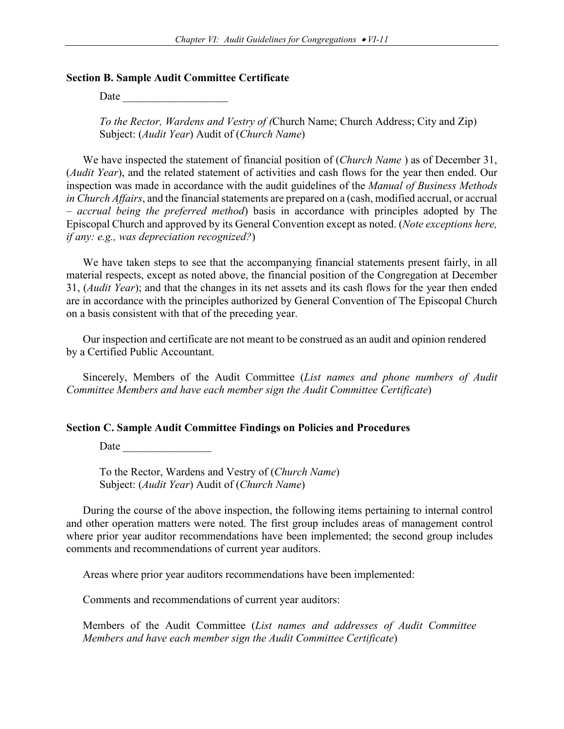#### **Section B. Sample Audit Committee Certificate**

Date

*To the Rector, Wardens and Vestry of (*Church Name; Church Address; City and Zip) Subject: (*Audit Year*) Audit of (*Church Name*)

We have inspected the statement of financial position of (*Church Name* ) as of December 31, (*Audit Year*), and the related statement of activities and cash flows for the year then ended. Our inspection was made in accordance with the audit guidelines of the *Manual of Business Methods in Church Affairs*, and the financial statements are prepared on a (cash, modified accrual, or accrual – *accrual being the preferred method*) basis in accordance with principles adopted by The Episcopal Church and approved by its General Convention except as noted. (*Note exceptions here, if any: e.g., was depreciation recognized?*)

We have taken steps to see that the accompanying financial statements present fairly, in all material respects, except as noted above, the financial position of the Congregation at December 31, (*Audit Year*); and that the changes in its net assets and its cash flows for the year then ended are in accordance with the principles authorized by General Convention of The Episcopal Church on a basis consistent with that of the preceding year.

Our inspection and certificate are not meant to be construed as an audit and opinion rendered by a Certified Public Accountant.

Sincerely, Members of the Audit Committee (*List names and phone numbers of Audit Committee Members and have each member sign the Audit Committee Certificate*)

#### **Section C. Sample Audit Committee Findings on Policies and Procedures**

Date  $\qquad \qquad$ 

To the Rector, Wardens and Vestry of (*Church Name*) Subject: (*Audit Year*) Audit of (*Church Name*)

During the course of the above inspection, the following items pertaining to internal control and other operation matters were noted. The first group includes areas of management control where prior year auditor recommendations have been implemented; the second group includes comments and recommendations of current year auditors.

Areas where prior year auditors recommendations have been implemented:

Comments and recommendations of current year auditors:

Members of the Audit Committee (*List names and addresses of Audit Committee Members and have each member sign the Audit Committee Certificate*)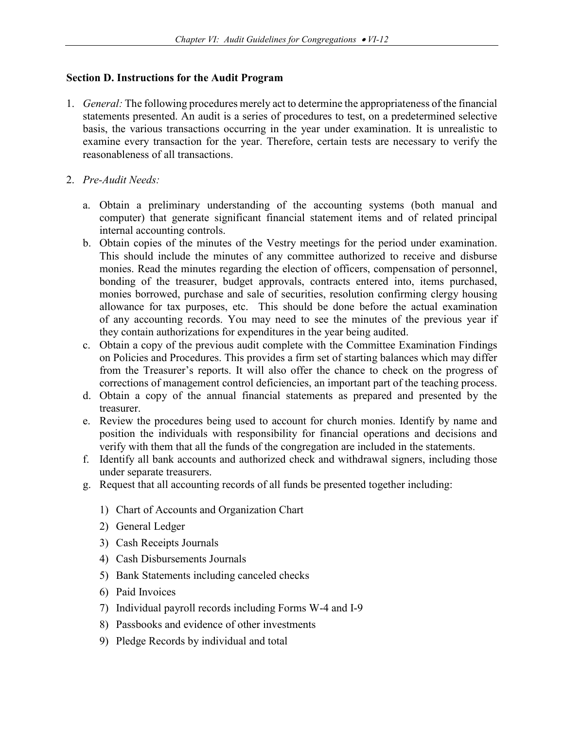#### **Section D. Instructions for the Audit Program**

- 1. *General:* The following procedures merely act to determine the appropriateness of the financial statements presented. An audit is a series of procedures to test, on a predetermined selective basis, the various transactions occurring in the year under examination. It is unrealistic to examine every transaction for the year. Therefore, certain tests are necessary to verify the reasonableness of all transactions.
- 2. *Pre-Audit Needs:* 
	- a. Obtain a preliminary understanding of the accounting systems (both manual and computer) that generate significant financial statement items and of related principal internal accounting controls.
	- b. Obtain copies of the minutes of the Vestry meetings for the period under examination. This should include the minutes of any committee authorized to receive and disburse monies. Read the minutes regarding the election of officers, compensation of personnel, bonding of the treasurer, budget approvals, contracts entered into, items purchased, monies borrowed, purchase and sale of securities, resolution confirming clergy housing allowance for tax purposes, etc. This should be done before the actual examination of any accounting records. You may need to see the minutes of the previous year if they contain authorizations for expenditures in the year being audited.
	- c. Obtain a copy of the previous audit complete with the Committee Examination Findings on Policies and Procedures. This provides a firm set of starting balances which may differ from the Treasurer's reports. It will also offer the chance to check on the progress of corrections of management control deficiencies, an important part of the teaching process.
	- d. Obtain a copy of the annual financial statements as prepared and presented by the treasurer.
	- e. Review the procedures being used to account for church monies. Identify by name and position the individuals with responsibility for financial operations and decisions and verify with them that all the funds of the congregation are included in the statements.
	- f. Identify all bank accounts and authorized check and withdrawal signers, including those under separate treasurers.
	- g. Request that all accounting records of all funds be presented together including:
		- 1) Chart of Accounts and Organization Chart
		- 2) General Ledger
		- 3) Cash Receipts Journals
		- 4) Cash Disbursements Journals
		- 5) Bank Statements including canceled checks
		- 6) Paid Invoices
		- 7) Individual payroll records including Forms W-4 and I-9
		- 8) Passbooks and evidence of other investments
		- 9) Pledge Records by individual and total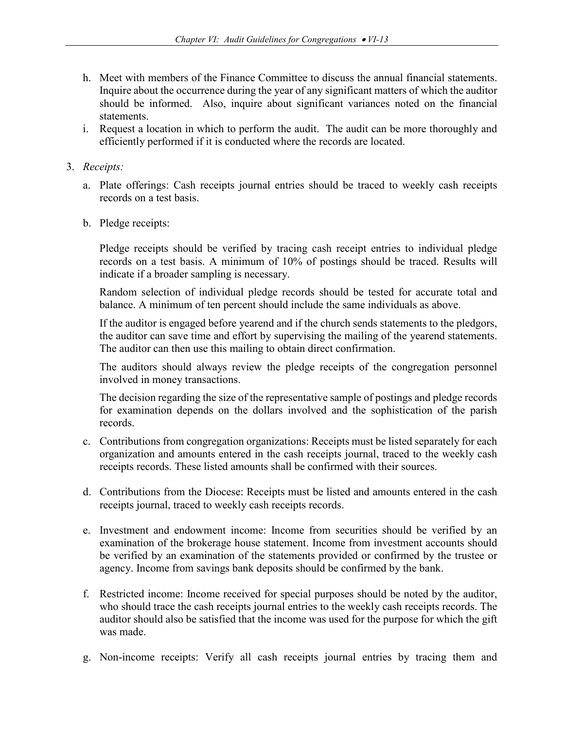- h. Meet with members of the Finance Committee to discuss the annual financial statements. Inquire about the occurrence during the year of any significant matters of which the auditor should be informed. Also, inquire about significant variances noted on the financial statements.
- i. Request a location in which to perform the audit. The audit can be more thoroughly and efficiently performed if it is conducted where the records are located.

## 3. *Receipts:*

- a. Plate offerings: Cash receipts journal entries should be traced to weekly cash receipts records on a test basis.
- b. Pledge receipts:

Pledge receipts should be verified by tracing cash receipt entries to individual pledge records on a test basis. A minimum of 10% of postings should be traced. Results will indicate if a broader sampling is necessary.

Random selection of individual pledge records should be tested for accurate total and balance. A minimum of ten percent should include the same individuals as above.

If the auditor is engaged before yearend and if the church sends statements to the pledgors, the auditor can save time and effort by supervising the mailing of the yearend statements. The auditor can then use this mailing to obtain direct confirmation.

The auditors should always review the pledge receipts of the congregation personnel involved in money transactions.

The decision regarding the size of the representative sample of postings and pledge records for examination depends on the dollars involved and the sophistication of the parish records.

- c. Contributions from congregation organizations: Receipts must be listed separately for each organization and amounts entered in the cash receipts journal, traced to the weekly cash receipts records. These listed amounts shall be confirmed with their sources.
- d. Contributions from the Diocese: Receipts must be listed and amounts entered in the cash receipts journal, traced to weekly cash receipts records.
- e. Investment and endowment income: Income from securities should be verified by an examination of the brokerage house statement. Income from investment accounts should be verified by an examination of the statements provided or confirmed by the trustee or agency. Income from savings bank deposits should be confirmed by the bank.
- f. Restricted income: Income received for special purposes should be noted by the auditor, who should trace the cash receipts journal entries to the weekly cash receipts records. The auditor should also be satisfied that the income was used for the purpose for which the gift was made.
- g. Non-income receipts: Verify all cash receipts journal entries by tracing them and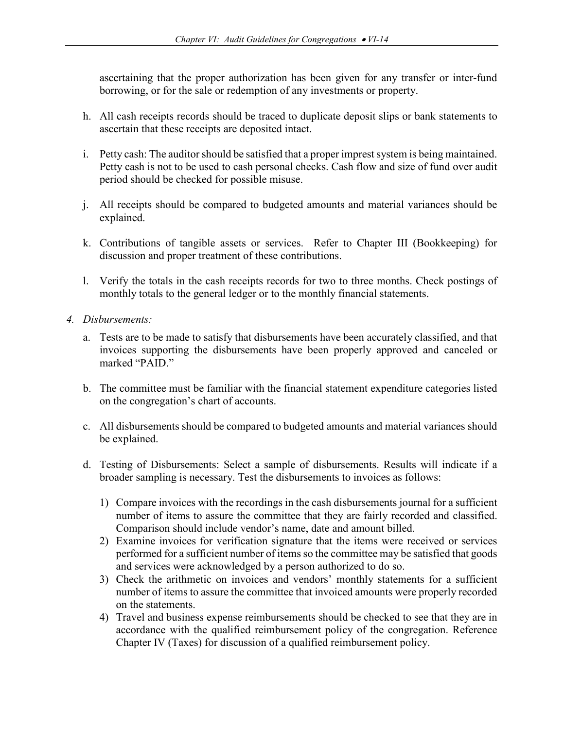ascertaining that the proper authorization has been given for any transfer or inter-fund borrowing, or for the sale or redemption of any investments or property.

- h. All cash receipts records should be traced to duplicate deposit slips or bank statements to ascertain that these receipts are deposited intact.
- i. Petty cash: The auditor should be satisfied that a proper imprest system is being maintained. Petty cash is not to be used to cash personal checks. Cash flow and size of fund over audit period should be checked for possible misuse.
- j. All receipts should be compared to budgeted amounts and material variances should be explained.
- k. Contributions of tangible assets or services. Refer to Chapter III (Bookkeeping) for discussion and proper treatment of these contributions.
- l. Verify the totals in the cash receipts records for two to three months. Check postings of monthly totals to the general ledger or to the monthly financial statements.
- *4. Disbursements:* 
	- a. Tests are to be made to satisfy that disbursements have been accurately classified, and that invoices supporting the disbursements have been properly approved and canceled or marked "PAID."
	- b. The committee must be familiar with the financial statement expenditure categories listed on the congregation's chart of accounts.
	- c. All disbursements should be compared to budgeted amounts and material variances should be explained.
	- d. Testing of Disbursements: Select a sample of disbursements. Results will indicate if a broader sampling is necessary. Test the disbursements to invoices as follows:
		- 1) Compare invoices with the recordings in the cash disbursements journal for a sufficient number of items to assure the committee that they are fairly recorded and classified. Comparison should include vendor's name, date and amount billed.
		- 2) Examine invoices for verification signature that the items were received or services performed for a sufficient number of items so the committee may be satisfied that goods and services were acknowledged by a person authorized to do so.
		- 3) Check the arithmetic on invoices and vendors' monthly statements for a sufficient number of items to assure the committee that invoiced amounts were properly recorded on the statements.
		- 4) Travel and business expense reimbursements should be checked to see that they are in accordance with the qualified reimbursement policy of the congregation. Reference Chapter IV (Taxes) for discussion of a qualified reimbursement policy.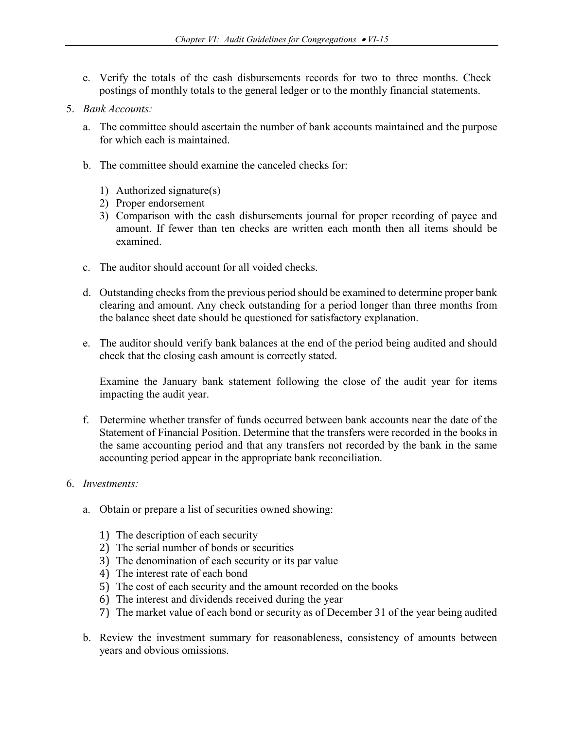- e. Verify the totals of the cash disbursements records for two to three months. Check postings of monthly totals to the general ledger or to the monthly financial statements.
- 5. *Bank Accounts:* 
	- a. The committee should ascertain the number of bank accounts maintained and the purpose for which each is maintained.
	- b. The committee should examine the canceled checks for:
		- 1) Authorized signature(s)
		- 2) Proper endorsement
		- 3) Comparison with the cash disbursements journal for proper recording of payee and amount. If fewer than ten checks are written each month then all items should be examined.
	- c. The auditor should account for all voided checks.
	- d. Outstanding checks from the previous period should be examined to determine proper bank clearing and amount. Any check outstanding for a period longer than three months from the balance sheet date should be questioned for satisfactory explanation.
	- e. The auditor should verify bank balances at the end of the period being audited and should check that the closing cash amount is correctly stated.

Examine the January bank statement following the close of the audit year for items impacting the audit year.

- f. Determine whether transfer of funds occurred between bank accounts near the date of the Statement of Financial Position. Determine that the transfers were recorded in the books in the same accounting period and that any transfers not recorded by the bank in the same accounting period appear in the appropriate bank reconciliation.
- 6. *Investments:* 
	- a. Obtain or prepare a list of securities owned showing:
		- 1) The description of each security
		- 2) The serial number of bonds or securities
		- 3) The denomination of each security or its par value
		- 4) The interest rate of each bond
		- 5) The cost of each security and the amount recorded on the books
		- 6) The interest and dividends received during the year
		- 7) The market value of each bond or security as of December 31 of the year being audited
	- b. Review the investment summary for reasonableness, consistency of amounts between years and obvious omissions.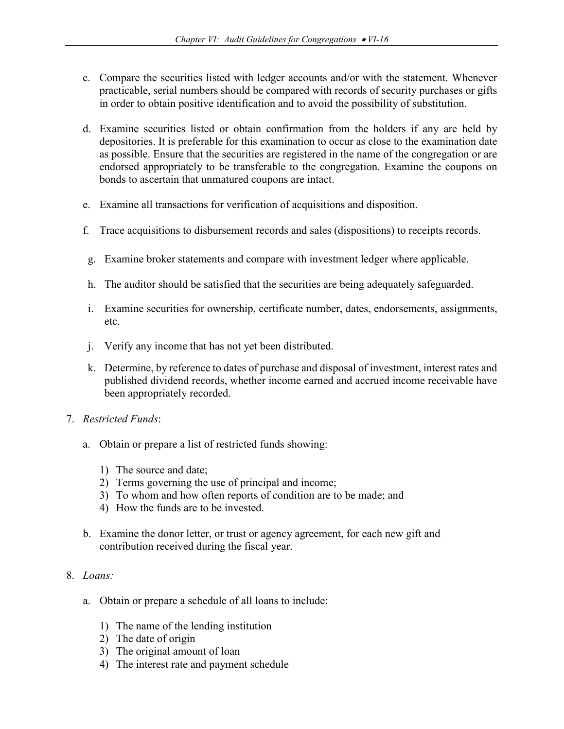- c. Compare the securities listed with ledger accounts and/or with the statement. Whenever practicable, serial numbers should be compared with records of security purchases or gifts in order to obtain positive identification and to avoid the possibility of substitution.
- d. Examine securities listed or obtain confirmation from the holders if any are held by depositories. It is preferable for this examination to occur as close to the examination date as possible. Ensure that the securities are registered in the name of the congregation or are endorsed appropriately to be transferable to the congregation. Examine the coupons on bonds to ascertain that unmatured coupons are intact.
- e. Examine all transactions for verification of acquisitions and disposition.
- f. Trace acquisitions to disbursement records and sales (dispositions) to receipts records.
- g. Examine broker statements and compare with investment ledger where applicable.
- h. The auditor should be satisfied that the securities are being adequately safeguarded.
- i. Examine securities for ownership, certificate number, dates, endorsements, assignments, etc.
- j. Verify any income that has not yet been distributed.
- k. Determine, by reference to dates of purchase and disposal of investment, interest rates and published dividend records, whether income earned and accrued income receivable have been appropriately recorded.
- 7. *Restricted Funds*:
	- a. Obtain or prepare a list of restricted funds showing:
		- 1) The source and date;
		- 2) Terms governing the use of principal and income;
		- 3) To whom and how often reports of condition are to be made; and
		- 4) How the funds are to be invested.
	- b. Examine the donor letter, or trust or agency agreement, for each new gift and contribution received during the fiscal year.
- 8. *Loans:*
	- a. Obtain or prepare a schedule of all loans to include:
		- 1) The name of the lending institution
		- 2) The date of origin
		- 3) The original amount of loan
		- 4) The interest rate and payment schedule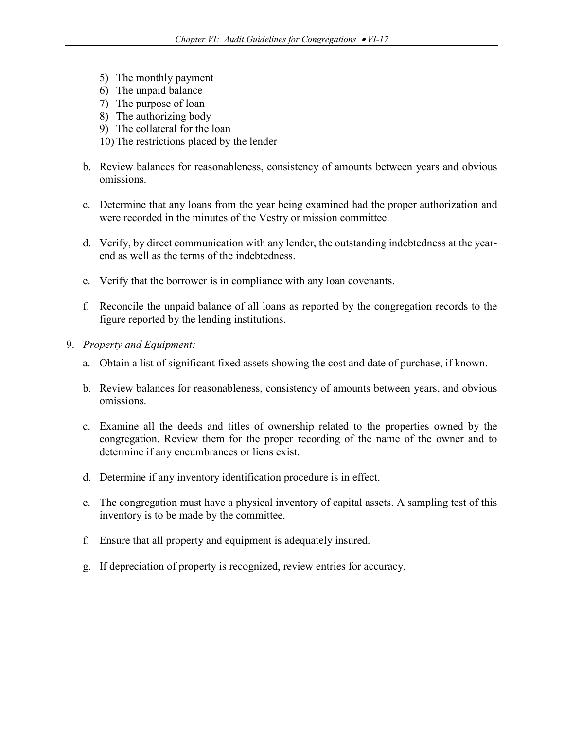- 5) The monthly payment
- 6) The unpaid balance
- 7) The purpose of loan
- 8) The authorizing body
- 9) The collateral for the loan
- 10) The restrictions placed by the lender
- b. Review balances for reasonableness, consistency of amounts between years and obvious omissions.
- c. Determine that any loans from the year being examined had the proper authorization and were recorded in the minutes of the Vestry or mission committee.
- d. Verify, by direct communication with any lender, the outstanding indebtedness at the yearend as well as the terms of the indebtedness.
- e. Verify that the borrower is in compliance with any loan covenants.
- f. Reconcile the unpaid balance of all loans as reported by the congregation records to the figure reported by the lending institutions.
- 9. *Property and Equipment:* 
	- a. Obtain a list of significant fixed assets showing the cost and date of purchase, if known.
	- b. Review balances for reasonableness, consistency of amounts between years, and obvious omissions.
	- c. Examine all the deeds and titles of ownership related to the properties owned by the congregation. Review them for the proper recording of the name of the owner and to determine if any encumbrances or liens exist.
	- d. Determine if any inventory identification procedure is in effect.
	- e. The congregation must have a physical inventory of capital assets. A sampling test of this inventory is to be made by the committee.
	- f. Ensure that all property and equipment is adequately insured.
	- g. If depreciation of property is recognized, review entries for accuracy.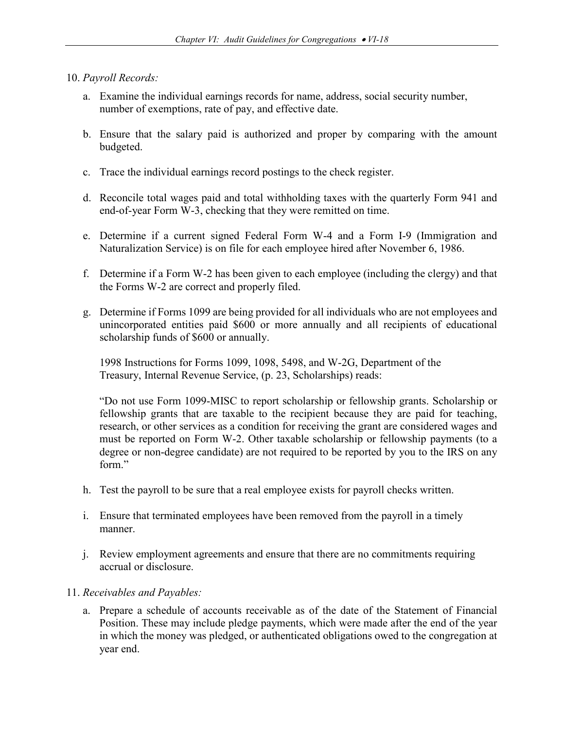### 10. *Payroll Records:*

- a. Examine the individual earnings records for name, address, social security number, number of exemptions, rate of pay, and effective date.
- b. Ensure that the salary paid is authorized and proper by comparing with the amount budgeted.
- c. Trace the individual earnings record postings to the check register.
- d. Reconcile total wages paid and total withholding taxes with the quarterly Form 941 and end-of-year Form W-3, checking that they were remitted on time.
- e. Determine if a current signed Federal Form W-4 and a Form I-9 (Immigration and Naturalization Service) is on file for each employee hired after November 6, 1986.
- f. Determine if a Form W-2 has been given to each employee (including the clergy) and that the Forms W-2 are correct and properly filed.
- g. Determine if Forms 1099 are being provided for all individuals who are not employees and unincorporated entities paid \$600 or more annually and all recipients of educational scholarship funds of \$600 or annually.

1998 Instructions for Forms 1099, 1098, 5498, and W-2G, Department of the Treasury, Internal Revenue Service, (p. 23, Scholarships) reads:

"Do not use Form 1099-MISC to report scholarship or fellowship grants. Scholarship or fellowship grants that are taxable to the recipient because they are paid for teaching, research, or other services as a condition for receiving the grant are considered wages and must be reported on Form W-2. Other taxable scholarship or fellowship payments (to a degree or non-degree candidate) are not required to be reported by you to the IRS on any form."

- h. Test the payroll to be sure that a real employee exists for payroll checks written.
- i. Ensure that terminated employees have been removed from the payroll in a timely manner.
- j. Review employment agreements and ensure that there are no commitments requiring accrual or disclosure.
- 11. *Receivables and Payables:* 
	- a. Prepare a schedule of accounts receivable as of the date of the Statement of Financial Position. These may include pledge payments, which were made after the end of the year in which the money was pledged, or authenticated obligations owed to the congregation at year end.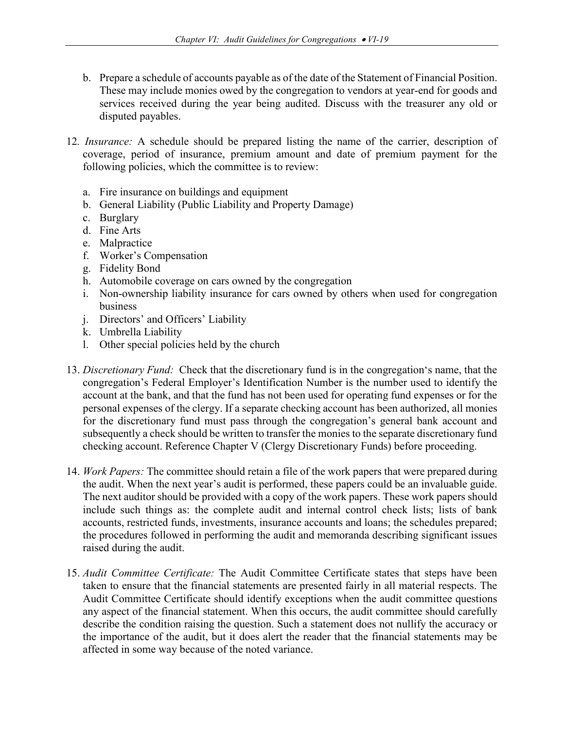- b. Prepare a schedule of accounts payable as of the date of the Statement of Financial Position. These may include monies owed by the congregation to vendors at year-end for goods and services received during the year being audited. Discuss with the treasurer any old or disputed payables.
- 12*. Insurance:* A schedule should be prepared listing the name of the carrier, description of coverage, period of insurance, premium amount and date of premium payment for the following policies, which the committee is to review:
	- a. Fire insurance on buildings and equipment
	- b. General Liability (Public Liability and Property Damage)
	- c. Burglary
	- d. Fine Arts
	- e. Malpractice
	- f. Worker's Compensation
	- g. Fidelity Bond
	- h. Automobile coverage on cars owned by the congregation
	- i. Non-ownership liability insurance for cars owned by others when used for congregation business
	- j. Directors' and Officers' Liability
	- k. Umbrella Liability
	- l. Other special policies held by the church
- 13. *Discretionary Fund:* Check that the discretionary fund is in the congregation's name, that the congregation's Federal Employer's Identification Number is the number used to identify the account at the bank, and that the fund has not been used for operating fund expenses or for the personal expenses of the clergy. If a separate checking account has been authorized, all monies for the discretionary fund must pass through the congregation's general bank account and subsequently a check should be written to transfer the monies to the separate discretionary fund checking account. Reference Chapter V (Clergy Discretionary Funds) before proceeding.
- 14. *Work Papers:* The committee should retain a file of the work papers that were prepared during the audit. When the next year's audit is performed, these papers could be an invaluable guide. The next auditor should be provided with a copy of the work papers. These work papers should include such things as: the complete audit and internal control check lists; lists of bank accounts, restricted funds, investments, insurance accounts and loans; the schedules prepared; the procedures followed in performing the audit and memoranda describing significant issues raised during the audit.
- 15. *Audit Committee Certificate:* The Audit Committee Certificate states that steps have been taken to ensure that the financial statements are presented fairly in all material respects. The Audit Committee Certificate should identify exceptions when the audit committee questions any aspect of the financial statement. When this occurs, the audit committee should carefully describe the condition raising the question. Such a statement does not nullify the accuracy or the importance of the audit, but it does alert the reader that the financial statements may be affected in some way because of the noted variance.